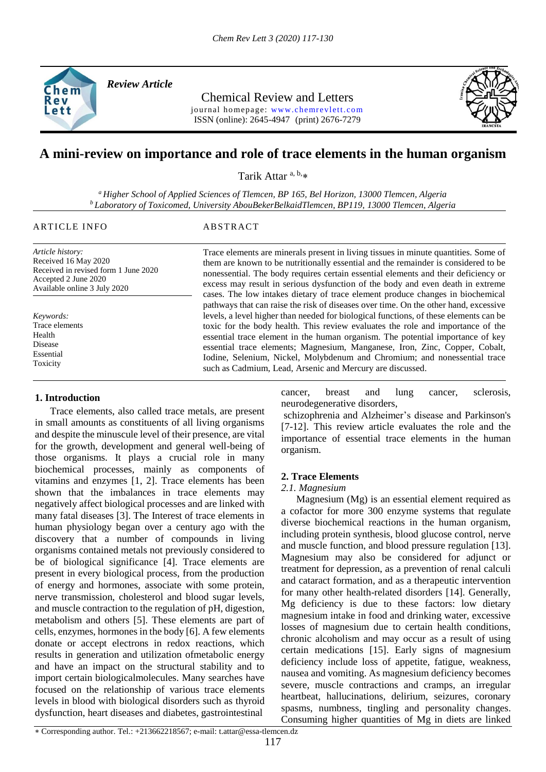

*Review Article* 

Chemical Review and Letters journal homepage: www.chemrevlett.com ISSN (online): 2645-4947(print) 2676-7279



# **A mini-review on importance and role of trace elements in the human organism**

Tarik Attar<sup>a, b,\*</sup>

*<sup>a</sup>Higher School of Applied Sciences of Tlemcen, BP 165, Bel Horizon, 13000 Tlemcen, Algeria <sup>b</sup>Laboratory of Toxicomed, University AbouBekerBelkaidTlemcen, BP119, 13000 Tlemcen, Algeria*

#### ARTICLE INFO ABSTRACT

*Article history:* Received 16 May 2020 Received in revised form 1 June 2020 Accepted 2 June 2020 Available online 3 July 2020

*Keywords:* Trace elements Health Disease Essential Toxicity

## **1. Introduction**

 Trace elements, also called trace metals, are present in small amounts as constituents of all living organisms and despite the minuscule level of their presence, are vital for the growth, development and general well-being of those organisms. It plays a crucial role in many biochemical processes, mainly as components of vitamins and enzymes [1, 2]. Trace elements has been shown that the imbalances in trace elements may negatively affect biological processes and are linked with many fatal diseases [3]. The Interest of trace elements in human physiology began over a century ago with the discovery that a number of compounds in living organisms contained metals not previously considered to be of biological significance [4]. Trace elements are present in every biological process, from the production of energy and hormones, associate with some protein, nerve transmission, cholesterol and blood sugar levels, and muscle contraction to the regulation of pH, digestion, metabolism and others [5]. These elements are part of cells, enzymes, hormones in the body [6]. A few elements donate or accept electrons in redox reactions, which results in generation and utilization ofmetabolic energy and have an impact on the structural stability and to import certain biologicalmolecules. Many searches have focused on the relationship of various trace elements levels in blood with biological disorders such as thyroid dysfunction, heart diseases and diabetes, gastrointestinal

Trace elements are minerals present in living tissues in minute quantities. Some of them are known to be nutritionally essential and the remainder is considered to be nonessential. The body requires certain essential elements and their deficiency or excess may result in serious dysfunction of the body and even death in extreme cases. The low intakes dietary of trace element produce changes in biochemical pathways that can raise the risk of diseases over time. On the other hand, excessive levels, a level higher than needed for biological functions, of these elements can be toxic for the body health. This review evaluates the role and importance of the essential trace element in the human organism. The potential importance of key essential trace elements; Magnesium, Manganese, Iron, Zinc, Copper, Cobalt, Iodine, Selenium, Nickel, Molybdenum and Chromium; and nonessential trace such as Cadmium, Lead, Arsenic and Mercury are discussed.

> cancer, breast and lung cancer, sclerosis, neurodegenerative disorders,

> schizophrenia and Alzheimer's disease and Parkinson's [7-12]. This review article evaluates the role and the importance of essential trace elements in the human organism.

## **2. Trace Elements**

## *2.1. Magnesium*

 Magnesium (Mg) is an essential element required as a cofactor for more 300 enzyme systems that regulate diverse biochemical reactions in the human organism, including protein synthesis, blood glucose control, nerve and muscle function, and blood pressure regulation [13]. Magnesium may also be considered for adjunct or treatment for depression, as a prevention of renal calculi and cataract formation, and as a therapeutic intervention for many other health-related disorders [14]. Generally, Mg deficiency is due to these factors: low dietary magnesium intake in food and drinking water, excessive losses of magnesium due to certain health conditions, chronic alcoholism and may occur as a result of using certain medications [15]. Early signs of magnesium deficiency include loss of appetite, fatigue, weakness, nausea and vomiting. As magnesium deficiency becomes severe, muscle contractions and cramps, an irregular heartbeat, hallucinations, delirium, seizures, coronary spasms, numbness, tingling and personality changes. Consuming higher quantities of Mg in diets are linked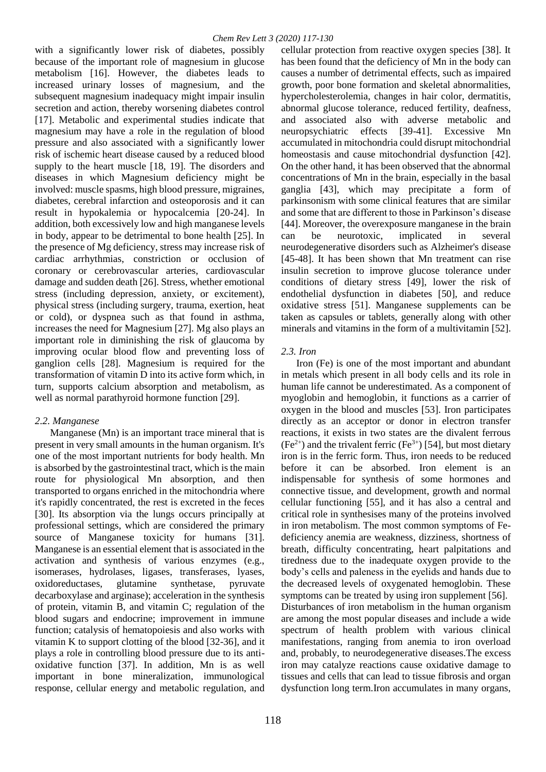with a significantly lower risk of diabetes, possibly because of the important role of magnesium in glucose metabolism [16]. However, the diabetes leads to increased urinary losses of magnesium, and the subsequent magnesium inadequacy might impair insulin secretion and action, thereby worsening diabetes control [17]. Metabolic and experimental studies indicate that magnesium may have a role in the regulation of blood pressure and also associated with a significantly lower risk of ischemic heart disease caused by a reduced blood supply to the heart muscle [18, 19]. The disorders and diseases in which Magnesium deficiency might be involved: muscle spasms, high blood pressure, migraines, diabetes, cerebral infarction and osteoporosis and it can result in hypokalemia or hypocalcemia [20-24]. In addition, both excessively low and high manganese levels in body, appear to be detrimental to bone health [25]. In the presence of Mg deficiency, stress may increase risk of cardiac arrhythmias, constriction or occlusion of coronary or cerebrovascular arteries, cardiovascular damage and sudden death [26]. Stress, whether emotional stress (including depression, anxiety, or excitement), physical stress (including surgery, trauma, exertion, heat or cold), or dyspnea such as that found in asthma, increases the need for Magnesium [27]. Mg also plays an important role in diminishing the risk of glaucoma by improving ocular blood flow and preventing loss of ganglion cells [28]. Magnesium is required for the transformation of vitamin D into its active form which, in turn, supports calcium absorption and metabolism, as well as normal parathyroid hormone function [29].

## *2.2. Manganese*

 Manganese (Mn) is an important trace mineral that is present in very small amounts in the human organism. It's one of the most important nutrients for body health. Mn is absorbed by the gastrointestinal tract, which is the main route for physiological Mn absorption, and then transported to organs enriched in the mitochondria where it's rapidly concentrated, the rest is excreted in the feces [30]. Its absorption via the lungs occurs principally at professional settings, which are considered the primary source of Manganese toxicity for humans [31]. Manganese is an essential element that is associated in the activation and synthesis of various enzymes (e.g., isomerases, hydrolases, ligases, transferases, lyases, oxidoreductases, glutamine synthetase, pyruvate decarboxylase and arginase); acceleration in the synthesis of protein, vitamin B, and vitamin C; regulation of the blood sugars and endocrine; improvement in immune function; catalysis of hematopoiesis and also works with vitamin K to support clotting of the blood [32-36], and it plays a role in controlling blood pressure due to its antioxidative function [37]. In addition, Mn is as well important in bone mineralization, immunological response, cellular energy and metabolic regulation, and

cellular protection from reactive oxygen species [38]. It has been found that the deficiency of Mn in the body can causes a number of detrimental effects, such as impaired growth, poor bone formation and skeletal abnormalities, hypercholesterolemia, changes in hair color, dermatitis, abnormal glucose tolerance, reduced fertility, deafness, and associated also with adverse metabolic and neuropsychiatric effects [39-41]. Excessive Mn accumulated in mitochondria could disrupt mitochondrial homeostasis and cause mitochondrial dysfunction [42]. On the other hand, it has been observed that the abnormal concentrations of Mn in the brain, especially in the basal ganglia [43], which may precipitate a form of parkinsonism with some clinical features that are similar and some that are different to those in Parkinson's disease [44]. Moreover, the overexposure manganese in the brain can be neurotoxic, implicated in several neurodegenerative disorders such as Alzheimer's disease [45-48]. It has been shown that Mn treatment can rise insulin secretion to improve glucose tolerance under conditions of dietary stress [49], lower the risk of endothelial dysfunction in diabetes [50], and reduce oxidative stress [51]. Manganese supplements can be taken as capsules or tablets, generally along with other minerals and vitamins in the form of a multivitamin [52].

# *2.3. Iron*

 Iron (Fe) is one of the most important and abundant in metals which present in all body cells and its role in human life cannot be underestimated. As a component of myoglobin and hemoglobin, it functions as a carrier of oxygen in the blood and muscles [53]. Iron participates directly as an acceptor or donor in electron transfer reactions, it exists in two states are the divalent ferrous  $(Fe<sup>2+</sup>)$  and the trivalent ferric  $(Fe<sup>3+</sup>)$  [54], but most dietary iron is in the ferric form. Thus, iron needs to be reduced before it can be absorbed. Iron element is an indispensable for synthesis of some hormones and connective tissue, and development, growth and normal cellular functioning [55], and it has also a central and critical role in synthesises many of the proteins involved in iron metabolism. The most common symptoms of Fedeficiency anemia are weakness, dizziness, shortness of breath, difficulty concentrating, heart palpitations and tiredness due to the inadequate oxygen provide to the body's cells and paleness in the eyelids and hands due to the decreased levels of oxygenated hemoglobin. These symptoms can be treated by using iron supplement [56]. Disturbances of iron metabolism in the human organism are among the most popular diseases and include a wide spectrum of health problem with various clinical manifestations, ranging from anemia to iron overload and, probably, to neurodegenerative diseases.The excess iron may catalyze reactions cause oxidative damage to tissues and cells that can lead to tissue fibrosis and organ dysfunction long term.Iron accumulates in many organs,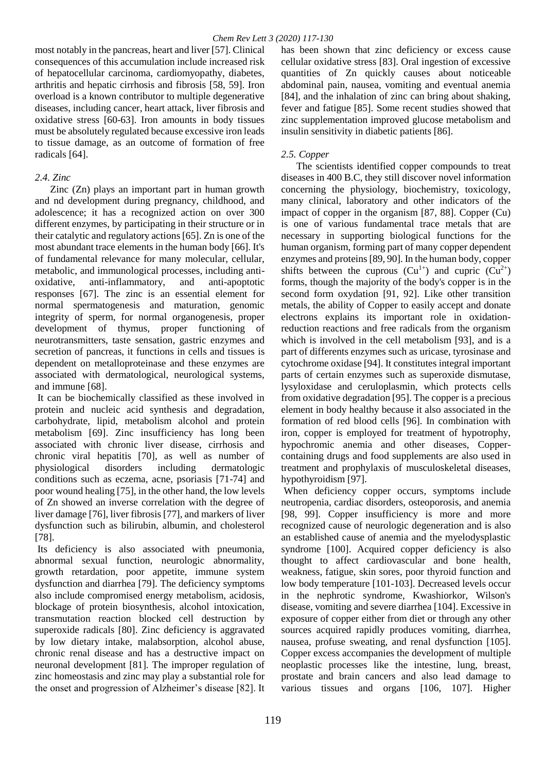most notably in the pancreas, heart and liver [57]. Clinical consequences of this accumulation include increased risk of hepatocellular carcinoma, cardiomyopathy, diabetes, arthritis and hepatic cirrhosis and fibrosis [58, 59]. Iron overload is a known contributor to multiple degenerative diseases, including cancer, heart attack, liver fibrosis and oxidative stress [60-63]. Iron amounts in body tissues must be absolutely regulated because excessive iron leads to tissue damage, as an outcome of formation of free radicals [64].

# *2.4. Zinc*

 Zinc (Zn) plays an important part in human growth and nd development during pregnancy, childhood, and adolescence; it has a recognized action on over 300 different enzymes, by participating in their structure or in their catalytic and regulatory actions [65]. Zn is one of the most abundant trace elements in the human body [66]. It's of fundamental relevance for many molecular, cellular, metabolic, and immunological processes, including antioxidative, anti-inflammatory, and anti-apoptotic responses [67]. The zinc is an essential element for normal spermatogenesis and maturation, genomic integrity of sperm, for normal organogenesis, proper development of thymus, proper functioning of neurotransmitters, taste sensation, gastric enzymes and secretion of pancreas, it functions in cells and tissues is dependent on metalloproteinase and these enzymes are associated with dermatological, neurological systems, and immune [68].

It can be biochemically classified as these involved in protein and nucleic acid synthesis and degradation, carbohydrate, lipid, metabolism alcohol and protein metabolism [69]. Zinc insufficiency has long been associated with chronic liver disease, cirrhosis and chronic viral hepatitis [70], as well as number of physiological disorders including dermatologic conditions such as eczema, acne, psoriasis [71-74] and poor wound healing [75], in the other hand, the low levels of Zn showed an inverse correlation with the degree of liver damage [76], liver fibrosis [77], and markers of liver dysfunction such as bilirubin, albumin, and cholesterol [78].

Its deficiency is also associated with pneumonia, abnormal sexual function, neurologic abnormality, growth retardation, poor appetite, immune system dysfunction and diarrhea [79]. The deficiency symptoms also include compromised energy metabolism, acidosis, blockage of protein biosynthesis, alcohol intoxication, transmutation reaction blocked cell destruction by superoxide radicals [80]. Zinc deficiency is aggravated by low dietary intake, malabsorption, alcohol abuse, chronic renal disease and has a destructive impact on neuronal development [81]. The improper regulation of zinc homeostasis and zinc may play a substantial role for the onset and progression of Alzheimer's disease [82]. It

has been shown that zinc deficiency or excess cause cellular oxidative stress [83]. Oral ingestion of excessive quantities of Zn quickly causes about noticeable abdominal pain, nausea, vomiting and eventual anemia [84], and the inhalation of zinc can bring about shaking, fever and fatigue [85]. Some recent studies showed that zinc supplementation improved glucose metabolism and insulin sensitivity in diabetic patients [86].

# *2.5. Copper*

 The scientists identified copper compounds to treat diseases in 400 B.C, they still discover novel information concerning the physiology, biochemistry, toxicology, many clinical, laboratory and other indicators of the impact of copper in the organism [87, 88]. Copper (Cu) is one of various fundamental trace metals that are necessary in supporting biological functions for the human organism, forming part of many copper dependent enzymes and proteins [89, 90]. In the human body, copper shifts between the cuprous  $(Cu^{1+})$  and cupric  $(Cu^{2+})$ forms, though the majority of the body's copper is in the second form oxydation [91, 92]. Like other transition metals, the ability of Copper to easily accept and donate electrons explains its important role in oxidationreduction reactions and free radicals from the organism which is involved in the cell metabolism [93], and is a part of differents enzymes such as uricase, tyrosinase and cytochrome oxidase [94]. It constitutes integral important parts of certain enzymes such as superoxide dismutase, lysyloxidase and ceruloplasmin, which protects cells from oxidative degradation [95]. The copper is a precious element in body healthy because it also associated in the formation of red blood cells [96]. In combination with iron, copper is employed for treatment of hypotrophy, hypochromic anemia and other diseases, Coppercontaining drugs and food supplements are also used in treatment and prophylaxis of musculoskeletal diseases, hypothyroidism [97].

When deficiency copper occurs, symptoms include neutropenia, cardiac disorders, osteoporosis, and anemia [98, 99]. Copper insufficiency is more and more recognized cause of neurologic degeneration and is also an established cause of anemia and the myelodysplastic syndrome [100]. Acquired copper deficiency is also thought to affect cardiovascular and bone health, weakness, fatigue, skin sores, poor thyroid function and low body temperature [101-103]. Decreased levels occur in the nephrotic syndrome, Kwashiorkor, Wilson's disease, vomiting and severe diarrhea [104]. Excessive in exposure of copper either from diet or through any other sources acquired rapidly produces vomiting, diarrhea, nausea, profuse sweating, and renal dysfunction [105]. Copper excess accompanies the development of multiple neoplastic processes like the intestine, lung, breast, prostate and brain cancers and also lead damage to various tissues and organs [106, 107]. Higher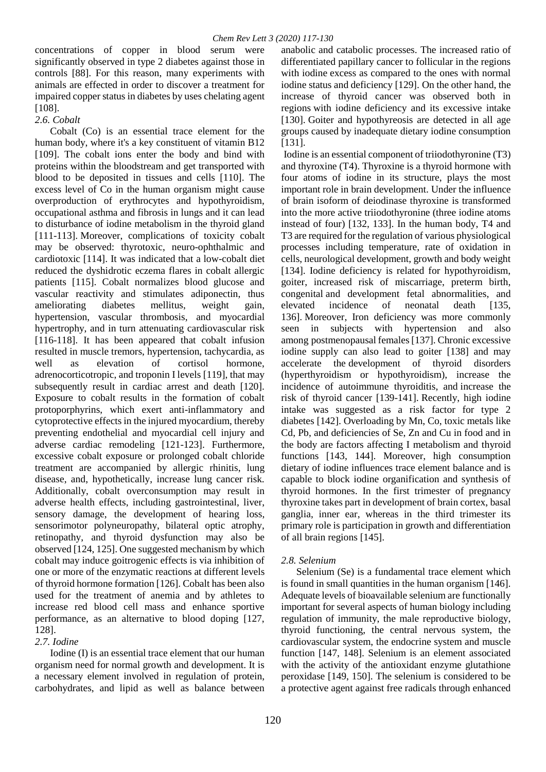concentrations of copper in blood serum were significantly observed in type 2 diabetes against those in controls [88]. For this reason, many experiments with animals are effected in order to discover a treatment for impaired copper status in diabetes by uses chelating agent [108].

## *2.6. Cobalt*

 Cobalt (Co) is an essential trace element for the human body, where it's a key constituent of vitamin B12 [109]. The cobalt ions enter the body and bind with proteins within the bloodstream and get transported with blood to be deposited in tissues and cells [110]. The excess level of Co in the human organism might cause overproduction of erythrocytes and hypothyroidism, occupational asthma and fibrosis in lungs and it can lead to disturbance of iodine metabolism in the thyroid gland [111-113]. Moreover, complications of toxicity cobalt may be observed: thyrotoxic, neuro-ophthalmic and cardiotoxic [114]. It was indicated that a low-cobalt diet reduced the dyshidrotic eczema flares in cobalt allergic patients [115]. Cobalt normalizes blood glucose and vascular reactivity and stimulates adiponectin, thus ameliorating diabetes mellitus, weight gain, hypertension, vascular thrombosis, and myocardial hypertrophy, and in turn attenuating cardiovascular risk [116-118]. It has been appeared that cobalt infusion resulted in muscle tremors, hypertension, tachycardia, as well as elevation of cortisol hormone, adrenocorticotropic, and troponin I levels [119], that may subsequently result in cardiac arrest and death [120]. Exposure to cobalt results in the formation of cobalt protoporphyrins, which exert anti-inflammatory and cytoprotective effects in the injured myocardium, thereby preventing endothelial and myocardial cell injury and adverse cardiac remodeling [121-123]. Furthermore, excessive cobalt exposure or prolonged cobalt chloride treatment are accompanied by allergic rhinitis, lung disease, and, hypothetically, increase lung cancer risk. Additionally, cobalt overconsumption may result in adverse health effects, including gastrointestinal, liver, sensory damage, the development of hearing loss, sensorimotor polyneuropathy, bilateral optic atrophy, retinopathy, and thyroid dysfunction may also be observed [124, 125]. One suggested mechanism by which cobalt may induce goitrogenic effects is via inhibition of one or more of the enzymatic reactions at different levels of thyroid hormone formation [126]. Cobalt has been also used for the treatment of anemia and by athletes to increase red blood cell mass and enhance sportive performance, as an alternative to blood doping [127, 128].

## *2.7. Iodine*

 Iodine (I) is an essential trace element that our human organism need for normal growth and development. It is a necessary element involved in regulation of protein, carbohydrates, and lipid as well as balance between

anabolic and catabolic processes. The increased ratio of differentiated papillary cancer to follicular in the regions with iodine excess as compared to the ones with normal iodine status and deficiency [129]. On the other hand, the increase of thyroid cancer was observed both in regions with iodine deficiency and its excessive intake [130]. Goiter and hypothyreosis are detected in all age groups caused by inadequate dietary iodine consumption [131].

Iodine is an essential component of triiodothyronine (T3) and thyroxine (T4). Thyroxine is a thyroid hormone with four atoms of iodine in its structure, plays the most important role in brain development. Under the influence of brain isoform of deiodinase thyroxine is transformed into the more active triiodothyronine (three iodine atoms instead of four) [132, 133]. In the human body, T4 and T3 are required for the regulation of various physiological processes including temperature, rate of oxidation in cells, neurological development, growth and body weight [134]. Iodine deficiency is related for hypothyroidism, goiter, increased risk of miscarriage, preterm birth, congenital and development fetal abnormalities, and elevated incidence of neonatal death [135, 136]. Moreover, Iron deficiency was more commonly seen in subjects with hypertension and also among postmenopausal females [137]. Chronic excessive iodine supply can also lead to goiter [138] and may accelerate the development of thyroid disorders (hyperthyroidism or hypothyroidism), increase the incidence of autoimmune thyroiditis, and increase the risk of thyroid cancer [139-141]. Recently, high iodine intake was suggested as a risk factor for type 2 diabetes [142]. Overloading by Mn, Co, toxic metals like Cd, Pb, and deficiencies of Se, Zn and Cu in food and in the body are factors affecting I metabolism and thyroid functions [143, 144]. Moreover, high consumption dietary of iodine influences trace element balance and is capable to block iodine organification and synthesis of thyroid hormones. In the first trimester of pregnancy thyroxine takes part in development of brain cortex, basal ganglia, inner ear, whereas in the third trimester its primary role is participation in growth and differentiation of all brain regions [145].

## *2.8. Selenium*

 Selenium (Se) is a fundamental trace element which is found in small quantities in the human organism [146]. Adequate levels of bioavailable selenium are functionally important for several aspects of human biology including regulation of immunity, the male reproductive biology, thyroid functioning, the central nervous system, the cardiovascular system, the endocrine system and muscle function [147, 148]. Selenium is an element associated with the activity of the antioxidant enzyme glutathione peroxidase [149, 150]. The selenium is considered to be a protective agent against free radicals through enhanced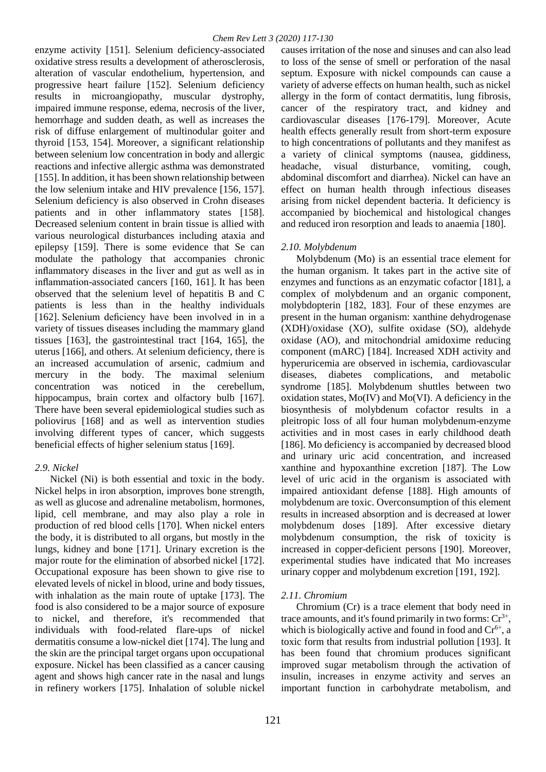enzyme activity [151]. Selenium deficiency-associated oxidative stress results a development of atherosclerosis, alteration of vascular endothelium, hypertension, and progressive heart failure [152]. Selenium deficiency results in microangiopathy, muscular dystrophy, impaired immune response, edema, necrosis of the liver, hemorrhage and sudden death, as well as increases the risk of diffuse enlargement of multinodular goiter and thyroid [153, 154]. Moreover, a significant relationship between selenium low concentration in body and allergic reactions and infective allergic asthma was demonstrated [155]. In addition, it has been shown relationship between the low selenium intake and HIV prevalence [156, 157]. Selenium deficiency is also observed in Crohn diseases patients and in other inflammatory states [158]. Decreased selenium content in brain tissue is allied with various neurological disturbances including ataxia and epilepsy [159]. There is some evidence that Se can modulate the pathology that accompanies chronic inflammatory diseases in the liver and gut as well as in inflammation-associated cancers [160, 161]. It has been observed that the selenium level of hepatitis B and C patients is less than in the healthy individuals [162]. Selenium deficiency have been involved in in a variety of tissues diseases including the mammary gland tissues [163], the gastrointestinal tract [164, 165], the uterus [166], and others. At selenium deficiency, there is an increased accumulation of arsenic, cadmium and mercury in the body. The maximal selenium concentration was noticed in the cerebellum, hippocampus, brain cortex and olfactory bulb [167]. There have been several epidemiological studies such as poliovirus [168] and as well as intervention studies involving different types of cancer, which suggests beneficial effects of higher selenium status [169].

## *2.9. Nickel*

 Nickel (Ni) is both essential and toxic in the body. Nickel helps in iron absorption, improves bone strength, as well as glucose and adrenaline metabolism, hormones, lipid, cell membrane, and may also play a role in production of red blood cells [170]. When nickel enters the body, it is distributed to all organs, but mostly in the lungs, kidney and bone [171]. Urinary excretion is the major route for the elimination of absorbed nickel [172]. Occupational exposure has been shown to give rise to elevated levels of nickel in blood, urine and body tissues, with inhalation as the main route of uptake [173]. The food is also considered to be a major source of exposure to nickel, and therefore, it's recommended that individuals with food-related flare-ups of nickel dermatitis consume a low-nickel diet [174]. The lung and the skin are the principal target organs upon occupational exposure. Nickel has been classified as a cancer causing agent and shows high cancer rate in the nasal and lungs in refinery workers [175]. Inhalation of soluble nickel causes irritation of the nose and sinuses and can also lead to loss of the sense of smell or perforation of the nasal septum. Exposure with nickel compounds can cause a variety of adverse effects on human health, such as nickel allergy in the form of contact dermatitis, lung fibrosis, cancer of the respiratory tract, and kidney and cardiovascular diseases [176-179]. Moreover, Acute health effects generally result from short-term exposure to high concentrations of pollutants and they manifest as a variety of clinical symptoms (nausea, giddiness, headache, visual disturbance, vomiting, cough, abdominal discomfort and diarrhea). Nickel can have an effect on human health through infectious diseases arising from nickel dependent bacteria. It deficiency is accompanied by biochemical and histological changes and reduced iron resorption and leads to anaemia [180].

# *2.10. Molybdenum*

 Molybdenum (Mo) is an essential trace element for the human organism. It takes part in the active site of enzymes and functions as an enzymatic cofactor [181], a complex of molybdenum and an organic component, molybdopterin [182, 183]. Four of these enzymes are present in the human organism: xanthine dehydrogenase (XDH)/oxidase (XO), sulfite oxidase (SO), aldehyde oxidase (AO), and mitochondrial amidoxime reducing component (mARC) [184]. Increased XDH activity and hyperuricemia are observed in ischemia, cardiovascular diseases, diabetes complications, and metabolic syndrome [185]. Molybdenum shuttles between two oxidation states, Mo(IV) and Mo(VI). A deficiency in the biosynthesis of molybdenum cofactor results in a pleitropic loss of all four human molybdenum-enzyme activities and in most cases in early childhood death [186]. Mo deficiency is accompanied by decreased blood and urinary uric acid concentration, and increased xanthine and hypoxanthine excretion [187]. The Low level of uric acid in the organism is associated with impaired antioxidant defense [188]. High amounts of molybdenum are toxic. Overconsumption of this element results in increased absorption and is decreased at lower molybdenum doses [189]. After excessive dietary molybdenum consumption, the risk of toxicity is increased in copper-deficient persons [190]. Moreover, experimental studies have indicated that Mo increases urinary copper and molybdenum excretion [191, 192].

# *2.11. Chromium*

 Chromium (Cr) is a trace element that body need in trace amounts, and it's found primarily in two forms:  $Cr^{3+}$ , which is biologically active and found in food and  $Cr^{6+}$ , a toxic form that results from industrial pollution [193]. It has been found that chromium produces significant improved sugar metabolism through the activation of insulin, increases in enzyme activity and serves an important function in carbohydrate metabolism, and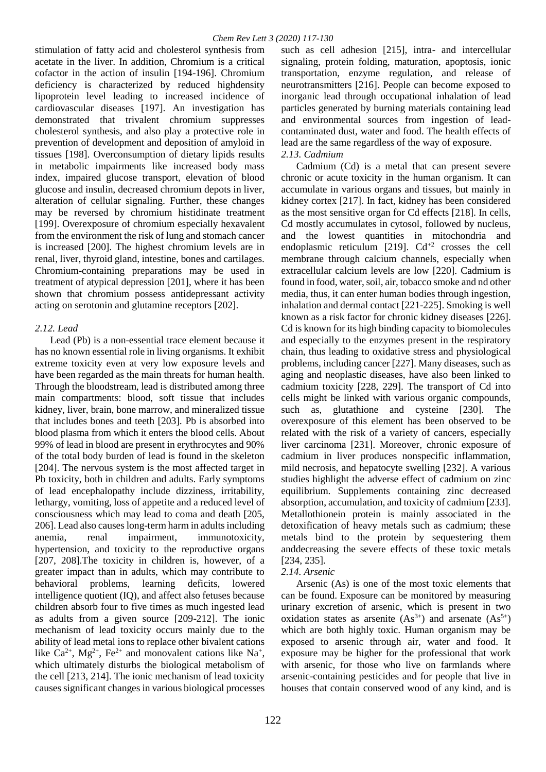stimulation of fatty acid and cholesterol synthesis from acetate in the liver. In addition, Chromium is a critical cofactor in the action of insulin [194-196]. Chromium deficiency is characterized by reduced highdensity lipoprotein level leading to increased incidence of cardiovascular diseases [197]. An investigation has demonstrated that trivalent chromium suppresses cholesterol synthesis, and also play a protective role in prevention of development and deposition of amyloid in tissues [198]. Overconsumption of dietary lipids results in metabolic impairments like increased body mass index, impaired glucose transport, elevation of blood glucose and insulin, decreased chromium depots in liver, alteration of cellular signaling. Further, these changes may be reversed by chromium histidinate treatment [199]. Overexposure of chromium especially hexavalent from the environment the risk of lung and stomach cancer is increased [200]. The highest chromium levels are in renal, liver, thyroid gland, intestine, bones and cartilages. Chromium-containing preparations may be used in treatment of atypical depression [201], where it has been shown that chromium possess antidepressant activity acting on serotonin and glutamine receptors [202].

#### *2.12. Lead*

 Lead (Pb) is a non-essential trace element because it has no known essential role in living organisms. It exhibit extreme toxicity even at very low exposure levels and have been regarded as the main threats for human health. Through the bloodstream, lead is distributed among three main compartments: blood, soft tissue that includes kidney, liver, brain, bone marrow, and mineralized tissue that includes bones and teeth [203]. Pb is absorbed into blood plasma from which it enters the blood cells. About 99% of lead in blood are present in erythrocytes and 90% of the total body burden of lead is found in the skeleton [204]. The nervous system is the most affected target in Pb toxicity, both in children and adults. Early symptoms of lead encephalopathy include dizziness, irritability, lethargy, vomiting, loss of appetite and a reduced level of consciousness which may lead to coma and death [205, 206]. Lead also causes long-term harm in adults including anemia, renal impairment, immunotoxicity, hypertension, and toxicity to the reproductive organs [207, 208].The toxicity in children is, however, of a greater impact than in adults, which may contribute to behavioral problems, learning deficits, lowered intelligence quotient (IQ), and affect also fetuses because children absorb four to five times as much ingested lead as adults from a given source [209-212]. The ionic mechanism of lead toxicity occurs mainly due to the ability of lead metal ions to replace other bivalent cations like Ca<sup>2+</sup>, Mg<sup>2+</sup>, Fe<sup>2+</sup> and monovalent cations like Na<sup>+</sup>, which ultimately disturbs the biological metabolism of the cell [213, 214]. The ionic mechanism of lead toxicity causes significant changes in various biological processes

such as cell adhesion [215], intra- and intercellular signaling, protein folding, maturation, apoptosis, ionic transportation, enzyme regulation, and release of neurotransmitters [216]. People can become exposed to inorganic lead through occupational inhalation of lead particles generated by burning materials containing lead and environmental sources from ingestion of leadcontaminated dust, water and food. The health effects of lead are the same regardless of the way of exposure. *2.13. Cadmium*

 Cadmium (Cd) is a metal that can present severe chronic or acute toxicity in the human organism. It can accumulate in various organs and tissues, but mainly in kidney cortex [217]. In fact, kidney has been considered as the most sensitive organ for Cd effects [218]. In cells, Cd mostly accumulates in cytosol, followed by nucleus, and the lowest quantities in mitochondria and endoplasmic reticulum [219].  $Cd^{+2}$  crosses the cell membrane through calcium channels, especially when extracellular calcium levels are low [220]. Cadmium is found in food, water, soil, air, tobacco smoke and nd other media, thus, it can enter human bodies through ingestion, inhalation and dermal contact [221-225]. Smoking is well known as a risk factor for chronic kidney diseases [226]. Cd is known for its high binding capacity to biomolecules and especially to the enzymes present in the respiratory chain, thus leading to oxidative stress and physiological problems, including cancer [227]. Many diseases, such as aging and neoplastic diseases, have also been linked to cadmium toxicity [228, 229]. The transport of Cd into cells might be linked with various organic compounds, such as, glutathione and cysteine [230]. The overexposure of this element has been observed to be related with the risk of a variety of cancers, especially liver carcinoma [231]. Moreover, chronic exposure of cadmium in liver produces nonspecific inflammation, mild necrosis, and hepatocyte swelling [232]. A various studies highlight the adverse effect of cadmium on zinc equilibrium. Supplements containing zinc decreased absorption, accumulation, and toxicity of cadmium [233]. Metallothionein protein is mainly associated in the detoxification of heavy metals such as cadmium; these metals bind to the protein by sequestering them anddecreasing the severe effects of these toxic metals [234, 235].

#### *2.14. Arsenic*

 Arsenic (As) is one of the most toxic elements that can be found. Exposure can be monitored by measuring urinary excretion of arsenic, which is present in two oxidation states as arsenite  $(As^{3+})$  and arsenate  $(As^{5+})$ which are both highly toxic. Human organism may be exposed to arsenic through air, water and food. It exposure may be higher for the professional that work with arsenic, for those who live on farmlands where arsenic-containing pesticides and for people that live in houses that contain conserved wood of any kind, and is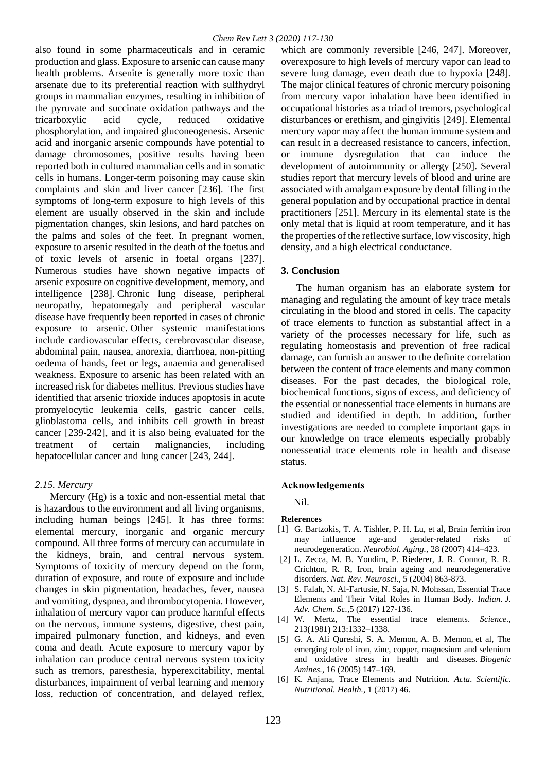also found in some pharmaceuticals and in ceramic production and glass. Exposure to arsenic can cause many health problems. Arsenite is generally more toxic than arsenate due to its preferential reaction with sulfhydryl groups in mammalian enzymes, resulting in inhibition of the pyruvate and succinate oxidation pathways and the tricarboxylic acid cycle, reduced oxidative phosphorylation, and impaired gluconeogenesis. Arsenic acid and inorganic arsenic compounds have potential to damage chromosomes, positive results having been reported both in cultured mammalian cells and in somatic cells in humans. Longer-term poisoning may cause skin complaints and skin and liver cancer [236]. The first symptoms of long-term exposure to high levels of this element are usually observed in the skin and include pigmentation changes, skin lesions, and hard patches on the palms and soles of the feet. In pregnant women, exposure to arsenic resulted in the death of the foetus and of toxic levels of arsenic in foetal organs [237]. Numerous studies have shown negative impacts of arsenic exposure on cognitive development, memory, and intelligence [238]. Chronic lung disease, peripheral neuropathy, hepatomegaly and peripheral vascular disease have frequently been reported in cases of chronic exposure to arsenic. Other systemic manifestations include cardiovascular effects, cerebrovascular disease, abdominal pain, nausea, anorexia, diarrhoea, non-pitting oedema of hands, feet or legs, anaemia and generalised weakness. Exposure to arsenic has been related with an increased risk for diabetes mellitus. Previous studies have identified that arsenic trioxide induces apoptosis in acute promyelocytic leukemia cells, gastric cancer cells, glioblastoma cells, and inhibits cell growth in breast cancer [239-242], and it is also being evaluated for the treatment of certain malignancies, including hepatocellular cancer and lung cancer [243, 244].

#### *2.15. Mercury*

 Mercury (Hg) is a toxic and non-essential metal that is hazardous to the environment and all living organisms, including human beings [245]. It has three forms: elemental mercury, inorganic and organic mercury compound. All three forms of mercury can accumulate in the kidneys, brain, and central nervous system. Symptoms of toxicity of mercury depend on the form, duration of exposure, and route of exposure and include changes in skin pigmentation, headaches, fever, nausea and vomiting, dyspnea, and thrombocytopenia. However, inhalation of mercury vapor can produce harmful effects on the nervous, immune systems, digestive, chest pain, impaired pulmonary function, and kidneys, and even coma and death. Acute exposure to mercury vapor by inhalation can produce central nervous system toxicity such as tremors, paresthesia, hyperexcitability, mental disturbances, impairment of verbal learning and memory loss, reduction of concentration, and delayed reflex,

which are commonly reversible [246, 247]. Moreover, overexposure to high levels of mercury vapor can lead to severe lung damage, even death due to hypoxia [248]. The major clinical features of chronic mercury poisoning from mercury vapor inhalation have been identified in occupational histories as a triad of tremors, psychological disturbances or erethism, and gingivitis [249]. Elemental mercury vapor may affect the human immune system and can result in a decreased resistance to cancers, infection, or immune dysregulation that can induce the development of autoimmunity or allergy [250]. Several studies report that mercury levels of blood and urine are associated with amalgam exposure by dental filling in the general population and by occupational practice in dental practitioners [251]. Mercury in its elemental state is the only metal that is liquid at room temperature, and it has the properties of the reflective surface, low viscosity, high density, and a high electrical conductance.

#### **3. Conclusion**

 The human organism has an elaborate system for managing and regulating the amount of key trace metals circulating in the blood and stored in cells. The capacity of trace elements to function as substantial affect in a variety of the processes necessary for life, such as regulating homeostasis and prevention of free radical damage, can furnish an answer to the definite correlation between the content of trace elements and many common diseases. For the past decades, the biological role, biochemical functions, signs of excess, and deficiency of the essential or nonessential trace elements in humans are studied and identified in depth. In addition, further investigations are needed to complete important gaps in our knowledge on trace elements especially probably nonessential trace elements role in health and disease status.

#### **Acknowledgements**

Nil.

#### **References**

- [1] G. Bartzokis, T. A. Tishler, P. H. Lu, et al, Brain ferritin iron may influence age-and gender-related risks of neurodegeneration. *Neurobiol. Aging.,* 28 (2007) 414–423.
- [2] L. Zecca, M. B. Youdim, P. Riederer, J. R. Connor, R. R. Crichton, R. R, Iron, brain ageing and neurodegenerative disorders. *Nat. Rev. Neurosci.,* 5 (2004) 863-873.
- [3] S. Falah, N. Al-Fartusie, N. Saja, N. Mohssan, Essential Trace Elements and Their Vital Roles in Human Body. *Indian. J. Adv. Chem. Sc.,*5 (2017) 127-136.
- [4] W. Mertz, The essential trace elements. *Science.,*  213(1981) 213:1332–1338.
- [5] G. A. Ali Qureshi, S. A. Memon, A. B. Memon, et al, The emerging role of iron, zinc, copper, magnesium and selenium and oxidative stress in health and diseases. *Biogenic Amines.,* 16 (2005) 147–169.
- [6] K. Anjana, Trace Elements and Nutrition. *Acta. Scientific. Nutritional. Health.,* 1 (2017) 46.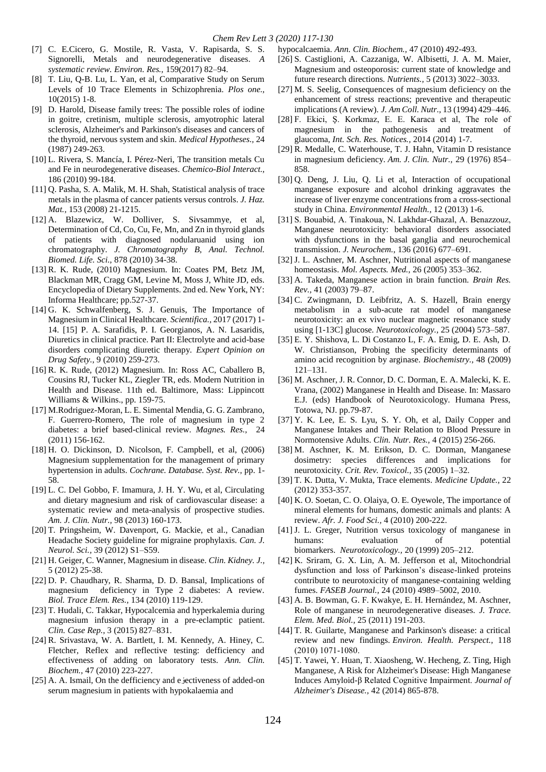- [7] C. E.Cicero, G. Mostile, R. Vasta, V. Rapisarda, S. S. Signorelli, Metals and neurodegenerative diseases. *A systematic review. Environ. Res.,* 159(2017) 82–94.
- [8] T. Liu, Q-B. Lu, L. Yan, et al, Comparative Study on Serum Levels of 10 Trace Elements in Schizophrenia. *Plos one.,*  10(2015) 1-8.
- [9] D. Harold, Disease family trees: The possible roles of iodine in goitre, cretinism, multiple sclerosis, amyotrophic lateral sclerosis, Alzheimer's and Parkinson's diseases and cancers of the thyroid, nervous system and skin. *Medical Hypotheses.,* 24 (1987) 249-263.
- [10] L. Rivera, S. Mancía, I. Pérez-Neri, The transition metals Cu and Fe in neurodegenerative diseases. *Chemico-Biol Interact.,* 186 (2010) 99-184.
- [11] Q. Pasha, S. A. Malik, M. H. Shah, Statistical analysis of trace metals in the plasma of cancer patients versus controls. *J. Haz. Mat.,* 153 (2008) 21-1215.
- [12] A. Blazewicz, W. Dolliver, S. Sivsammye, et al, Determination of Cd, Co, Cu, Fe, Mn, and Zn in thyroid glands of patients with diagnosed nodularuanid using ion chromatography. *J. Chromatography B, Anal. Technol. Biomed. Life. Sci.,* 878 (2010) 34-38.
- [13] R. K. Rude, (2010) Magnesium. In: Coates PM, Betz JM, Blackman MR, Cragg GM, Levine M, Moss J, White JD, eds. Encyclopedia of Dietary Supplements. 2nd ed. New York, NY: Informa Healthcare; pp.527-37.
- [14] G. K. Schwalfenberg, S. J. Genuis, The Importance of Magnesium in Clinical Healthcare. *Scientifica.,* 2017 (2017) 1- 14. [15] P. A. Sarafidis, P. I. Georgianos, A. N. Lasaridis, Diuretics in clinical practice. Part II: Electrolyte and acid-base disorders complicating diuretic therapy. *Expert Opinion on Drug Safety.,* 9 (2010) 259-273.
- [16] R. K. Rude, (2012) Magnesium. In: Ross AC, Caballero B, Cousins RJ, Tucker KL, Ziegler TR, eds. Modern Nutrition in Health and Disease. 11th ed. Baltimore, Mass: Lippincott Williams & Wilkins., pp. 159-75.
- [17] M.Rodriguez-Moran, L. E. Simental Mendia, G. G. Zambrano, F. Guerrero-Romero, The role of magnesium in type 2 diabetes: a brief based-clinical review. *Magnes. Res.,* 24 (2011) 156-162.
- [18] H. O. Dickinson, D. Nicolson, F. Campbell, et al, (2006) Magnesium supplementation for the management of primary hypertension in adults. *Cochrane. Database. Syst. Rev.,* pp. 1- 58.
- [19] L. C. Del Gobbo, F. Imamura, J. H. Y. Wu, et al, Circulating and dietary magnesium and risk of cardiovascular disease: a systematic review and meta-analysis of prospective studies. *Am. J. Clin. Nutr.,* 98 (2013) 160-173.
- [20] T. Pringsheim, W. Davenport, G. Mackie, et al., Canadian Headache Society guideline for migraine prophylaxis. *Can. J. Neurol. Sci.,* 39 (2012) S1–S59.
- [21] H. Geiger, C. Wanner, Magnesium in disease. *Clin. Kidney. J.,* 5 (2012) 25-38.
- [22] D. P. Chaudhary, R. Sharma, D. D. Bansal, Implications of magnesium deficiency in Type 2 diabetes: A review. *Biol. Trace Elem. Res.,* 134 (2010) 119-129.
- [23] T. Hudali, C. Takkar, Hypocalcemia and hyperkalemia during magnesium infusion therapy in a pre-eclamptic patient. *Clin. Case Rep.,* 3 (2015) 827–831.
- [24] R. Srivastava, W. A. Bartlett, I. M. Kennedy, A. Hiney, C. Fletcher, Reflex and reflective testing: defficiency and effectiveness of adding on laboratory tests. *Ann. Clin. Biochem.,* 47 (2010) 223-227.
- [25] A. A. Ismail, On the defficiency and e jectiveness of added-on serum magnesium in patients with hypokalaemia and
- hypocalcaemia. *Ann. Clin. Biochem.,* 47 (2010) 492-493.
- [26] S. Castiglioni, A. Cazzaniga, W. Albisetti, J. A. M. Maier, Magnesium and osteoporosis: current state of knowledge and future research directions. *Nutrients.,* 5 (2013) 3022–3033.
- [27] M. S. Seelig, Consequences of magnesium deficiency on the enhancement of stress reactions; preventive and therapeutic implications (A review). *J. Am Coll. Nutr.,* 13 (1994) 429–446.
- [28] F. Ekici, Ş. Korkmaz, E. E. Karaca et al, The role of magnesium in the pathogenesis and treatment of glaucoma, *Int. Sch. Res. Notices.,* 2014 (2014) 1-7.
- [29] R. Medalle, C. Waterhouse, T. J. Hahn, Vitamin D resistance in magnesium deficiency. *Am. J. Clin. Nutr.,* 29 (1976) 854– 858.
- [30] Q. Deng, J. Liu, Q. Li et al, Interaction of occupational manganese exposure and alcohol drinking aggravates the increase of liver enzyme concentrations from a cross-sectional study in China. *Environmental Health.*, 12 (2013) 1-6.
- [31] S. Bouabid, A. Tinakoua, N. Lakhdar‐Ghazal, A. Benazzouz, Manganese neurotoxicity: behavioral disorders associated with dysfunctions in the basal ganglia and neurochemical transmission. *J. Neurochem.,* 136 (2016) 677–691.
- [32] J. L. Aschner, M. Aschner, Nutritional aspects of manganese homeostasis. *Mol. Aspects. Med.,* 26 (2005) 353–362.
- [33] A. Takeda, Manganese action in brain function. *Brain Res. Rev.,* 41 (2003) 79–87.
- [34] C. Zwingmann, D. Leibfritz, A. S. Hazell, Brain energy metabolism in a sub-acute rat model of manganese neurotoxicity: an ex vivo nuclear magnetic resonance study using [1-13C] glucose. *Neurotoxicology.,* 25 (2004) 573–587.
- [35] E. Y. Shishova, L. Di Costanzo L, F. A. Emig, D. E. Ash, D. W. Christianson, Probing the specificity determinants of amino acid recognition by arginase. *Biochemistry.,* 48 (2009) 121–131.
- [36] M. Aschner, J. R. Connor, D. C. Dorman, E. A. Malecki, K. E. Vrana, (2002) Manganese in Health and Disease. In: Massaro E.J. (eds) Handbook of Neurotoxicology. Humana Press, Totowa, NJ. pp.79-87.
- [37] Y. K. Lee, E. S. Lyu, S. Y. Oh, et al, Daily Copper and Manganese Intakes and Their Relation to Blood Pressure in Normotensive Adults. *Clin. Nutr. Res.,* 4 (2015) 256-266.
- [38] M. Aschner, K. M. Erikson, D. C. Dorman, Manganese dosimetry: species differences and implications for neurotoxicity. *Crit. Rev. Toxicol.,* 35 (2005) 1–32.
- [39] T. K. Dutta, V. Mukta, Trace elements. *Medicine Update.,* 22 (2012) 353-357.
- [40] K. O. Soetan, C. O. Olaiya, O. E. Oyewole, The importance of mineral elements for humans, domestic animals and plants: A review. *Afr. J. Food Sci.,* 4 (2010) 200-222.
- [41] J. L. Greger, Nutrition versus toxicology of manganese in humans: evaluation of potential biomarkers. *Neurotoxicology.,* 20 (1999) 205–212.
- [42] K. Sriram, G. X. Lin, A. M. Jefferson et al, Mitochondrial dysfunction and loss of Parkinson's disease-linked proteins contribute to neurotoxicity of manganese-containing welding fumes. *FASEB Journal.,* 24 (2010) 4989–5002, 2010.
- [43] A. B. Bowman, G. F. Kwakye, E. H. Hernández, M. Aschner, Role of manganese in neurodegenerative diseases. *J. Trace. Elem. Med. Biol.,* 25 (2011) 191-203.
- [44] T. R. Guilarte, Manganese and Parkinson's disease: a critical review and new findings. *Environ. Health. Perspect.,* 118 (2010) 1071‐1080.
- [45] T. Yawei, Y. Huan, T. Xiaosheng, W. Hecheng, Z. Ting, High Manganese, A Risk for Alzheimer's Disease: High Manganese Induces Amyloid-β Related Cognitive Impairment. *Journal of Alzheimer's Disease.,* 42 (2014) 865-878.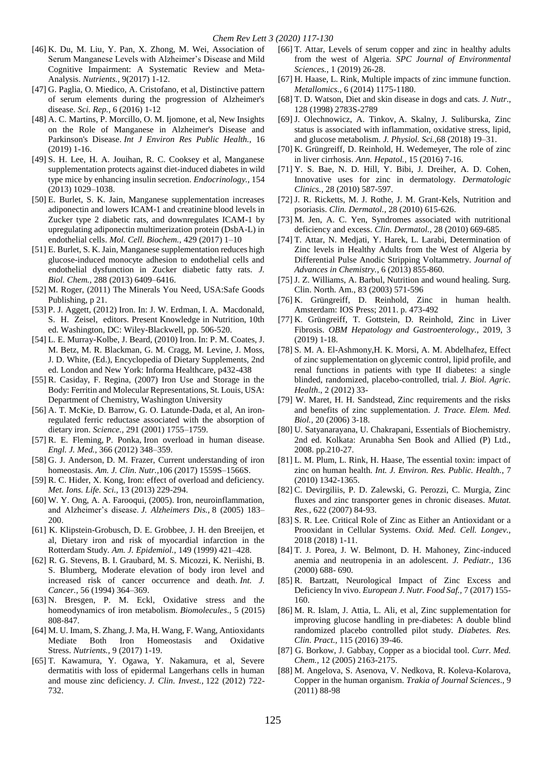- [46] K. Du, M. Liu, Y. Pan, X. Zhong, M. Wei, Association of Serum Manganese Levels with Alzheimer's Disease and Mild Cognitive Impairment: A Systematic Review and Meta-Analysis. *Nutrients.,* 9(2017) 1-12.
- [47] G. Paglia, O. Miedico, A. Cristofano, et al, Distinctive pattern of serum elements during the progression of Alzheimer's disease. *Sci. Rep.,* 6 (2016) 1-12
- [48] A. C. Martins, P. Morcillo, O. M. Ijomone, et al, New Insights on the Role of Manganese in Alzheimer's Disease and Parkinson's Disease. *Int J Environ Res Public Health.,* 16 (2019) 1-16.
- [49] S. H. Lee, H. A. Jouihan, R. C. Cooksey et al, Manganese supplementation protects against diet-induced diabetes in wild type mice by enhancing insulin secretion. *Endocrinology.,* 154 (2013) 1029–1038.
- [50] E. Burlet, S. K. Jain, Manganese supplementation increases adiponectin and lowers ICAM-1 and creatinine blood levels in Zucker type 2 diabetic rats, and downregulates ICAM-1 by upregulating adiponectin multimerization protein (DsbA-L) in endothelial cells. *Mol. Cell. Biochem.,* 429 (2017) 1–10
- [51] E. Burlet, S. K. Jain, Manganese supplementation reduces high glucose-induced monocyte adhesion to endothelial cells and endothelial dysfunction in Zucker diabetic fatty rats. *J. Biol. Chem.,* 288 (2013) 6409–6416.
- [52] M. Roger, (2011) The Minerals You Need, USA:Safe Goods Publishing, p 21.
- [53] P. J. Aggett, (2012) Iron. In: J. W. Erdman, I. A. Macdonald, S. H. Zeisel, editors. Present Knowledge in Nutrition, 10th ed. Washington, DC: Wiley-Blackwell, pp. 506-520.
- [54] L. E. Murray-Kolbe, J. Beard, (2010) Iron. In: P. M. Coates, J. M. Betz, M. R. Blackman, G. M. Cragg, M. Levine, J. Moss, J. D. White, (Ed.), Encyclopedia of Dietary Supplements, 2nd ed. London and New York: Informa Healthcare, p432-438
- [55] R. Casiday, F. Regina, (2007) Iron Use and Storage in the Body: Ferritin and Molecular Representations, St. Louis, USA: Department of Chemistry, Washington University
- [56] A. T. McKie, D. Barrow, G. O. Latunde-Dada, et al, An ironregulated ferric reductase associated with the absorption of dietary iron. *Science.,* 291 (2001) 1755–1759.
- [57] R. E. Fleming, P. Ponka, Iron overload in human disease. *Engl. J. Med.,* 366 (2012) 348–359.
- [58] G. J. Anderson, D. M. Frazer, Current understanding of iron homeostasis. *Am. J. Clin. Nutr.,*106 (2017) 1559S–1566S.
- [59] R. C. Hider, X. Kong, Iron: effect of overload and deficiency. *Met. Ions. Life. Sci.,* 13 (2013) 229-294.
- [60] W. Y. Ong, A. A. Farooqui, (2005). Iron, neuroinflammation, and Alzheimer's disease. *J. Alzheimers Dis.,* 8 (2005) 183– 200.
- [61] K. Klipstein-Grobusch, D. E. Grobbee, J. H. den Breeijen, et al, Dietary iron and risk of myocardial infarction in the Rotterdam Study. *Am. J. Epidemiol.,* 149 (1999) 421–428.
- [62] R. G. Stevens, B. I. Graubard, M. S. Micozzi, K. Neriishi, B. S. Blumberg, Moderate elevation of body iron level and increased risk of cancer occurrence and death. *Int. J. Cancer.,* 56 (1994) 364–369.
- [63] N. Bresgen, P. M. Eckl, Oxidative stress and the homeodynamics of iron metabolism. *Biomolecules*., 5 (2015) 808‐847.
- [64] M. U. Imam, S. Zhang, J. Ma, H. Wang, F. Wang, Antioxidants Mediate Both Iron Homeostasis and Oxidative Stress. *Nutrients.,* 9 (2017) 1-19.
- [65] T. Kawamura, Y. Ogawa, Y. Nakamura, et al, Severe dermatitis with loss of epidermal Langerhans cells in human and mouse zinc deficiency. *J. Clin. Invest.,* 122 (2012) 722- 732.
- [66] T. Attar, Levels of serum copper and zinc in healthy adults from the west of Algeria. *SPC Journal of Environmental Sciences.,* 1 (2019) 26-28.
- [67] H. Haase, L. Rink, Multiple impacts of zinc immune function. *Metallomics.,* 6 (2014) 1175-1180.
- [68] T. D. Watson, Diet and skin disease in dogs and cats. *J. Nutr*., 128 (1998) 2783S-2789
- [69] J. Olechnowicz, A. Tinkov, A. Skalny, J. Suliburska, Zinc status is associated with inflammation, oxidative stress, lipid, and glucose metabolism. *J. Physiol. Sci.,*68 (2018) 19–31.
- [70] K. Grüngreiff, D. Reinhold, H. Wedemeyer, The role of zinc in liver cirrhosis. *Ann. Hepatol.,* 15 (2016) 7-16.
- [71] Y. S. Bae, N. D. Hill, Y. Bibi, J. Dreiher, A. D. Cohen, Innovative uses for zinc in dermatology. *Dermatologic Clinics.,* 28 (2010) 587-597.
- [72] J. R. Ricketts, M. J. Rothe, J. M. Grant-Kels, Nutrition and psoriasis. *Clin. Dermatol.,* 28 (2010) 615-626.
- [73] M. Jen, A. C. Yen, Syndromes associated with nutritional deficiency and excess. *Clin. Dermatol.,* 28 (2010) 669-685.
- [74] T. Attar, N. Medjati, Y. Harek, L. Larabi, Determination of Zinc levels in Healthy Adults from the West of Algeria by Differential Pulse Anodic Stripping Voltammetry. *Journal of Advances in Chemistry.*, 6 (2013) 855-860.
- [75] J. Z. Williams, A. Barbul, Nutrition and wound healing. Surg. Clin. North. Am., 83 (2003) 571-596
- [76] K. Grüngreiff, D. Reinhold, Zinc in human health. Amsterdam: IOS Press; 2011. p. 473-492
- [77] K. Grüngreiff, T. Gottstein, D. Reinhold, Zinc in Liver Fibrosis. *OBM Hepatology and Gastroenterology.,* 2019, 3 (2019) 1-18.
- [78] S. M. A. El-Ashmony,H. K. Morsi, A. M. Abdelhafez, Effect of zinc supplementation on glycemic control, lipid profile, and renal functions in patients with type II diabetes: a single blinded, randomized, placebo-controlled, trial. *J. Biol. Agric. Health*., 2 (2012) 33-
- [79] W. Maret, H. H. Sandstead, Zinc requirements and the risks and benefits of zinc supplementation. *J. Trace. Elem. Med. Biol.,* 20 (2006) 3-18.
- [80] U. Satyanarayana, U. Chakrapani, Essentials of Biochemistry. 2nd ed. Kolkata: Arunabha Sen Book and Allied (P) Ltd., 2008. pp.210-27.
- [81] L. M. Plum, L. Rink, H. Haase, The essential toxin: impact of zinc on human health. *Int. J. Environ. Res. Public. Health.,* 7 (2010) 1342-1365.
- [82] C. Devirgiliis, P. D. Zalewski, G. Perozzi, C. Murgia, Zinc fluxes and zinc transporter genes in chronic diseases. *Mutat. Res.,* 622 (2007) 84-93.
- [83] S. R. Lee. Critical Role of Zinc as Either an Antioxidant or a Prooxidant in Cellular Systems. *Oxid. Med. Cell. Longev.,* 2018 (2018) 1-11.
- [84] T. J. Porea, J. W. Belmont, D. H. Mahoney, Zinc-induced anemia and neutropenia in an adolescent. *J. Pediatr.,* 136 (2000) 688- 690.
- [85] R. Bartzatt, Neurological Impact of Zinc Excess and Deficiency In vivo. *European J. Nutr. Food Saf.,* 7 (2017) 155- 160.
- [86] M. R. Islam, J. Attia, L. Ali, et al, Zinc supplementation for improving glucose handling in pre-diabetes: A double blind randomized placebo controlled pilot study. *Diabetes. Res. Clin. Pract.,* 115 (2016) 39-46.
- [87] G. Borkow, J. Gabbay, Copper as a biocidal tool. *Curr. Med. Chem.,* 12 (2005) 2163-2175.
- [88] M. Angelova, S. Asenova, V. Nedkova, R. Koleva-Kolarova, Copper in the human organism. *Trakia of Journal Sciences*., 9 (2011) 88-98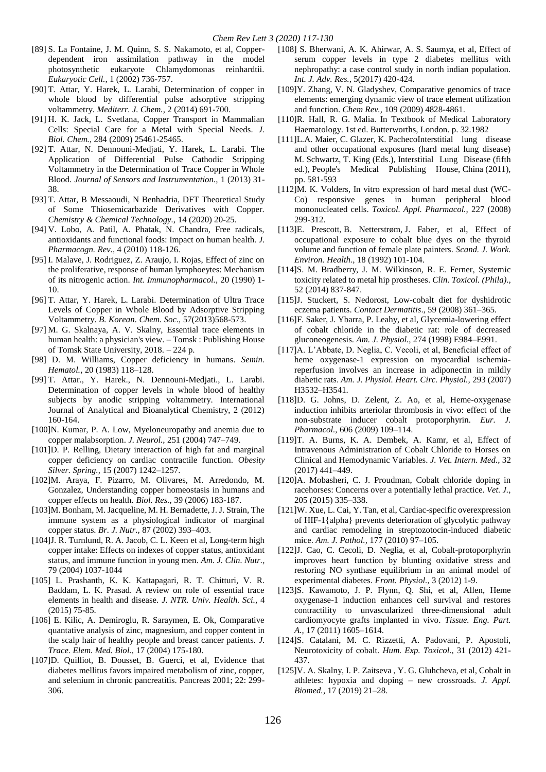- [89] S. La Fontaine, J. M. Quinn, S. S. Nakamoto, et al, Copperdependent iron assimilation pathway in the model photosynthetic eukaryote Chlamydomonas reinhardtii. *Eukaryotic Cell.,* 1 (2002) 736-757.
- [90] T. Attar, Y. Harek, L. Larabi, Determination of copper in whole blood by differential pulse adsorptive stripping voltammetry. *Mediterr. J. Chem.,* 2 (2014) 691-700.
- [91] H. K. Jack, L. Svetlana, Copper Transport in Mammalian Cells: Special Care for a Metal with Special Needs. *J. Biol. Chem.,* 284 (2009) 25461-25465.
- [92] T. Attar, N. Dennouni-Medjati, Y. Harek, L. Larabi. The Application of Differential Pulse Cathodic Stripping Voltammetry in the Determination of Trace Copper in Whole Blood. *Journal of Sensors and Instrumentation.,* 1 (2013) 31- 38.
- [93] T. Attar, B Messaoudi, N Benhadria, DFT Theoretical Study of Some Thiosemicarbazide Derivatives with Copper. *Chemistry & Chemical Technology.,* 14 (2020) 20-25.
- [94] V. Lobo, A. Patil, A. Phatak, N. Chandra, Free radicals, antioxidants and functional foods: Impact on human health. *J. Pharmacogn. Rev.,* 4 (2010) 118-126.
- [95] I. Malave, J. Rodriguez, Z. Araujo, I. Rojas, Effect of zinc on the proliferative, response of human lymphoeytes: Mechanism of its nitrogenic action. *Int. Immunopharmacol.,* 20 (1990) 1- 10.
- [96] T. Attar, Y. Harek, L. Larabi. Determination of Ultra Trace Levels of Copper in Whole Blood by Adsorptive Stripping Voltammetry. *B. Korean. Chem. Soc.,* 57(2013)568-573.
- [97] M. G. Skalnaya, A. V. Skalny, Essential trace elements in human health: a physician's view. – Tomsk : Publishing House of Tomsk State University, 2018. – 224 p.
- [98] D. M. Williams, Copper deficiency in humans. *Semin. Hematol.,* 20 (1983) 118–128.
- [99] T. Attar., Y. Harek., N. Dennouni-Medjati., L. Larabi. Determination of copper levels in whole blood of healthy subjects by anodic stripping voltammetry. International Journal of Analytical and Bioanalytical Chemistry, 2 (2012) 160-164.
- [100]N. Kumar, P. A. Low, Myeloneuropathy and anemia due to copper malabsorption. *J. Neurol.,* 251 (2004) 747–749.
- [101]D. P. Relling, Dietary interaction of high fat and marginal copper deficiency on cardiac contractile function. *Obesity Silver. Spring.,* 15 (2007) 1242–1257.
- [102]M. Araya, F. Pizarro, M. Olivares, M. Arredondo, M. Gonzalez, Understanding copper homeostasis in humans and copper effects on health. *Biol. Res.,* 39 (2006) 183-187.
- [103]M. Bonham, M. Jacqueline, M. H. Bernadette, J. J. Strain, The immune system as a physiological indicator of marginal copper status. *Br. J. Nutr.,* 87 (2002) 393–403.
- [104]J. R. Turnlund, R. A. Jacob, C. L. Keen et al, Long-term high copper intake: Effects on indexes of copper status, antioxidant status, and immune function in young men. *Am. J. Clin. Nutr.,* 79 (2004) 1037-1044
- [105] L. Prashanth, K. K. Kattapagari, R. T. Chitturi, V. R. Baddam, L. K. Prasad. A review on role of essential trace elements in health and disease. *J. NTR. Univ. Health. Sci.,* 4 (2015) 75-85.
- [106] E. Kilic, A. Demiroglu, R. Saraymen, E. Ok, Comparative quantative analysis of zinc, magnesium, and copper content in the scalp hair of healthy people and breast cancer patients. *J. Trace. Elem. Med. Biol.,* 17 (2004) 175-180.
- [107]D. Quilliot, B. Dousset, B. Guerci, et al, Evidence that diabetes mellitus favors impaired metabolism of zinc, copper, and selenium in chronic pancreatitis. Pancreas 2001; 22: 299- 306.
- [108] S. Bherwani, A. K. Ahirwar, A. S. Saumya, et al, Effect of serum copper levels in type 2 diabetes mellitus with nephropathy: a case control study in north indian population. *Int. J. Adv. Res.,* 5(2017) 420-424.
- [109]Y. Zhang, V. N. Gladyshev, Comparative genomics of trace elements: emerging dynamic view of trace element utilization and function. *Chem Rev.,* 109 (2009) 4828-4861.
- [110]R. Hall, R. G. Malia. In Textbook of Medical Laboratory Haematology. 1st ed. Butterworths, London. p. 32.1982
- [111]L.A. Maier, C. Glazer, K. PachecoInterstitial lung disease and other occupational exposures (hard metal lung disease) M. Schwartz, T. King (Eds.), Interstitial Lung Disease (fifth ed.), People's Medical Publishing House, China (2011), pp. 581-593
- [112]M. K. Volders, In vitro expression of hard metal dust (WC-Co) responsive genes in human peripheral blood mononucleated cells. *Toxicol. Appl. Pharmacol.,* 227 (2008) 299-312.
- [113]E. Prescott, B. Netterstrøm, J. Faber, et al, Effect of occupational exposure to cobalt blue dyes on the thyroid volume and function of female plate painters. *Scand. J. Work. Environ. Health.,* 18 (1992) 101-104.
- [114]S. M. Bradberry, J. M. Wilkinson, R. E. Ferner, Systemic toxicity related to metal hip prostheses. *Clin. Toxicol. (Phila).,*  52 (2014) 837-847.
- [115]J. Stuckert, S. Nedorost, Low-cobalt diet for dyshidrotic eczema patients. *Contact Dermatitis*., 59 (2008) 361–365.
- [116]F. Saker, J. Ybarra, P. Leahy, et al, Glycemia-lowering effect of cobalt chloride in the diabetic rat: role of decreased gluconeogenesis. *Am. J. Physiol.,* 274 (1998) E984–E991.
- [117]A. L'Abbate, D. Neglia, C. Vecoli, et al, Beneficial effect of heme oxygenase-1 expression on myocardial ischemiareperfusion involves an increase in adiponectin in mildly diabetic rats. *Am. J. Physiol. Heart. Circ. Physiol.,* 293 (2007) H3532–H3541.
- [118]D. G. Johns, D. Zelent, Z. Ao, et al, Heme-oxygenase induction inhibits arteriolar thrombosis in vivo: effect of the non-substrate inducer cobalt protoporphyrin. *Eur. J. Pharmacol.,* 606 (2009) 109–114.
- [119]T. A. Burns, K. A. Dembek, A. Kamr, et al, Effect of Intravenous Administration of Cobalt Chloride to Horses on Clinical and Hemodynamic Variables. *J. Vet. Intern. Med.,* 32 (2017) 441–449.
- [120]A. Mobasheri, C. J. Proudman, Cobalt chloride doping in racehorses: Concerns over a potentially lethal practice. *Vet. J.,* 205 (2015) 335–338.
- [121]W. Xue, L. Cai, Y. Tan, et al, Cardiac-specific overexpression of HIF-1{alpha} prevents deterioration of glycolytic pathway and cardiac remodeling in streptozotocin-induced diabetic mice. *Am. J. Pathol.,* 177 (2010) 97–105.
- [122]J. Cao, C. Cecoli, D. Neglia, et al, Cobalt-protoporphyrin improves heart function by blunting oxidative stress and restoring NO synthase equilibrium in an animal model of experimental diabetes. *Front. Physiol.,* 3 (2012) 1-9.
- [123]S. Kawamoto, J. P. Flynn, Q. Shi, et al, Allen, Heme oxygenase-1 induction enhances cell survival and restores contractility to unvascularized three-dimensional adult cardiomyocyte grafts implanted in vivo. *Tissue. Eng. Part. A.,* 17 (2011) 1605–1614.
- [124]S. Catalani, M. C. Rizzetti, A. Padovani, P. Apostoli, Neurotoxicity of cobalt. *Hum. Exp. Toxicol.,* 31 (2012) 421- 437.
- [125]V. A. Skalny, I. P. Zaitseva , Y. G. Gluhcheva, et al, Cobalt in athletes: hypoxia and doping – new crossroads. *J. Appl. Biomed.,* 17 (2019) 21–28.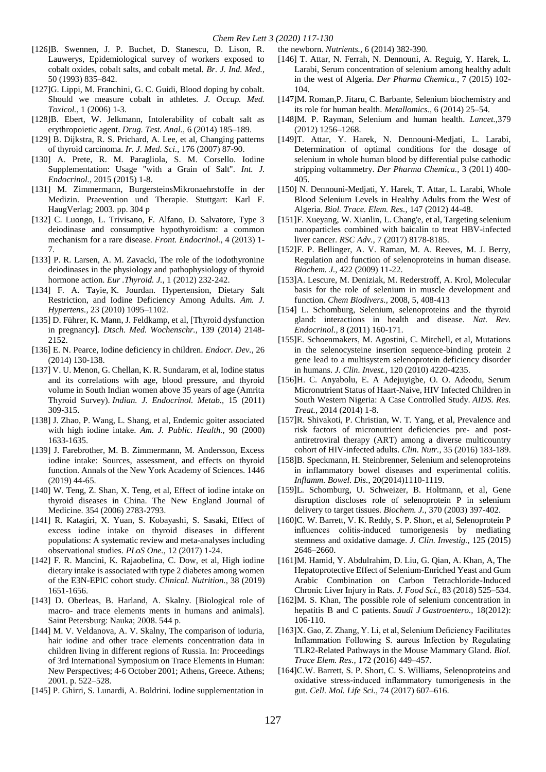- [126]B. Swennen, J. P. Buchet, D. Stanescu, D. Lison, R. Lauwerys, Epidemiological survey of workers exposed to cobalt oxides, cobalt salts, and cobalt metal. *Br. J. Ind. Med.,* 50 (1993) 835–842.
- [127]G. Lippi, M. Franchini, G. C. Guidi, Blood doping by cobalt. Should we measure cobalt in athletes. *J. Occup. Med. Toxicol.,* 1 (2006) 1-3.
- [128]B. Ebert, W. Jelkmann, Intolerability of cobalt salt as erythropoietic agent. *Drug. Test. Anal.,* 6 (2014) 185–189.
- [129] B. Dijkstra, R. S. Prichard, A. Lee, et al, Changing patterns of thyroid carcinoma. *Ir. J. Med. Sci.,* 176 (2007) 87-90.
- [130] A. Prete, R. M. Paragliola, S. M. Corsello. Iodine Supplementation: Usage "with a Grain of Salt". *Int. J. Endocrinol.,* 2015 (2015) 1-8.
- [131] M. Zimmermann, BurgersteinsMikronaehrstoffe in der Medizin. Praevention und Therapie. Stuttgart: Karl F. HaugVerlag; 2003. pp. 304 p
- [132] C. Luongo, L. Trivisano, F. Alfano, D. Salvatore, Type 3 deiodinase and consumptive hypothyroidism: a common mechanism for a rare disease. *Front. Endocrinol.,* 4 (2013) 1- 7.
- [133] P. R. Larsen, A. M. Zavacki, The role of the iodothyronine deiodinases in the physiology and pathophysiology of thyroid hormone action. *Eur .Thyroid. J.,* 1 (2012) 232‐242.
- [134] F. A. Tayie, K. Jourdan. Hypertension, Dietary Salt Restriction, and Iodine Deficiency Among Adults. *Am. J. Hypertens.,* 23 (2010) 1095–1102.
- [135] D. Führer, K. Mann, J. Feldkamp, et al, [Thyroid dysfunction in pregnancy]. *Dtsch. Med. Wochenschr.,* 139 (2014) 2148- 2152.
- [136] E. N. Pearce, Iodine deficiency in children. *Endocr. Dev.,* 26 (2014) 130-138.
- [137] V. U. Menon, G. Chellan, K. R. Sundaram, et al, Iodine status and its correlations with age, blood pressure, and thyroid volume in South Indian women above 35 years of age (Amrita Thyroid Survey). *Indian. J. Endocrinol. Metab.,* 15 (2011) 309‐315.
- [138] J. Zhao, P. Wang, L. Shang, et al, Endemic goiter associated with high iodine intake. *Am. J. Public. Health.,* 90 (2000) 1633-1635.
- [139] J. Farebrother, M. B. Zimmermann, M. Andersson, Excess iodine intake: Sources, assessment, and effects on thyroid function. Annals of the New York Academy of Sciences. 1446 (2019) 44-65.
- [140] W. Teng, Z. Shan, X. Teng, et al, Effect of iodine intake on thyroid diseases in China. The New England Journal of Medicine. 354 (2006) 2783-2793.
- [141] R. Katagiri, X. Yuan, S. Kobayashi, S. Sasaki, Effect of excess iodine intake on thyroid diseases in different populations: A systematic review and meta-analyses including observational studies. *PLoS One.,* 12 (2017) 1-24.
- [142] F. R. Mancini, K. Rajaobelina, C. Dow, et al, High iodine dietary intake is associated with type 2 diabetes among women of the E3N-EPIC cohort study. *Clinical. Nutrition.,* 38 (2019) 1651-1656.
- [143] D. Oberleas, B. Harland, A. Skalny. [Biological role of macro- and trace elements ments in humans and animals]. Saint Petersburg: Nauka; 2008. 544 p.
- [144] M. V. Veldanova, A. V. Skalny, The comparison of ioduria, hair iodine and other trace elements concentration data in children living in different regions of Russia. In: Proceedings of 3rd International Symposium on Trace Elements in Human: New Perspectives; 4-6 October 2001; Athens, Greece. Athens; 2001. p. 522–528.
- [145] P. Ghirri, S. Lunardi, A. Boldrini. Iodine supplementation in

the newborn. *Nutrients.,* 6 (2014) 382-390.

- [146] T. Attar, N. Ferrah, N. Dennouni, A. Reguig, Y. Harek, L. Larabi, Serum concentration of selenium among healthy adult in the west of Algeria. *Der Pharma Chemica.,* 7 (2015) 102- 104.
- [147]M. Roman,P. Jitaru, C. Barbante, Selenium biochemistry and its role for human health. *Metallomics.,* 6 (2014) 25–54.
- [148]M. P. Rayman, Selenium and human health. *Lancet.,*379 (2012) 1256–1268.
- [149]T. Attar, Y. Harek, N. Dennouni-Medjati, L. Larabi, Determination of optimal conditions for the dosage of selenium in whole human blood by differential pulse cathodic stripping voltammetry. *Der Pharma Chemica.,* 3 (2011) 400- 405.
- [150] N. Dennouni-Medjati, Y. Harek, T. Attar, L. Larabi, Whole Blood Selenium Levels in Healthy Adults from the West of Algeria. *Biol. Trace. Elem. Res.,* 147 (2012) 44-48.
- [151]F. Xueyang, W. Xianlin, L. Chang'e, et al, Targeting selenium nanoparticles combined with baicalin to treat HBV-infected liver cancer. *RSC Adv.,* 7 (2017) 8178-8185.
- [152]F. P. Bellinger, A. V. Raman, M. A. Reeves, M. J. Berry, Regulation and function of selenoproteins in human disease. *Biochem. J.,* 422 (2009) 11-22.
- [153]A. Lescure, M. Deniziak, M. Rederstroff, A. Krol, Molecular basis for the role of selenium in muscle development and function. *Chem Biodivers.,* 2008, 5, 408-413
- [154] L. Schomburg, Selenium, selenoproteins and the thyroid gland: interactions in health and disease. *Nat. Rev. Endocrinol.,* 8 (2011) 160-171.
- [155]E. Schoenmakers, M. Agostini, C. Mitchell, et al, Mutations in the selenocysteine insertion sequence-binding protein 2 gene lead to a multisystem selenoprotein deficiency disorder in humans. *J. Clin. Invest.,* 120 (2010) 4220-4235.
- [156]H. C. Anyabolu, E. A Adejuyigbe, O. O. Adeodu, Serum Micronutrient Status of Haart-Naive, HIV Infected Children in South Western Nigeria: A Case Controlled Study. *AIDS. Res. Treat.,* 2014 (2014) 1-8.
- [157]R. Shivakoti, P. Christian, W. T. Yang, et al, Prevalence and risk factors of micronutrient deficiencies pre- and postantiretroviral therapy (ART) among a diverse multicountry cohort of HIV-infected adults. *Clin. Nutr.,* 35 (2016) 183-189.
- [158]B. Speckmann, H. Steinbrenner, Selenium and selenoproteins in inflammatory bowel diseases and experimental colitis. *Inflamm. Bowel. Dis.,* 20(2014)1110-1119.
- [159]L. Schomburg, U. Schweizer, B. Holtmann, et al, Gene disruption discloses role of selenoprotein P in selenium delivery to target tissues. *Biochem. J.,* 370 (2003) 397-402.
- [160]C. W. Barrett, V. K. Reddy, S. P. Short, et al, Selenoprotein P influences colitis-induced tumorigenesis by mediating stemness and oxidative damage. *J. Clin. Investig.,* 125 (2015) 2646–2660.
- [161]M. Hamid, Y. Abdulrahim, D. Liu, G. Qian, A. Khan, A, The Hepatoprotective Effect of Selenium-Enriched Yeast and Gum Arabic Combination on Carbon Tetrachloride-Induced Chronic Liver Injury in Rats. *J. Food Sci.,* 83 (2018) 525–534.
- [162]M. S. Khan, The possible role of selenium concentration in hepatitis B and C patients. *Saudi J Gastroentero.,* 18(2012): 106-110.
- [163]X. Gao, Z. Zhang, Y. Li, et al, Selenium Deficiency Facilitates Inflammation Following S. aureus Infection by Regulating TLR2-Related Pathways in the Mouse Mammary Gland. *Biol. Trace Elem. Res.,* 172 (2016) 449–457.
- [164]C.W. Barrett, S. P. Short, C. S. Williams, Selenoproteins and oxidative stress-induced inflammatory tumorigenesis in the gut. *Cell. Mol. Life Sci.,* 74 (2017) 607–616.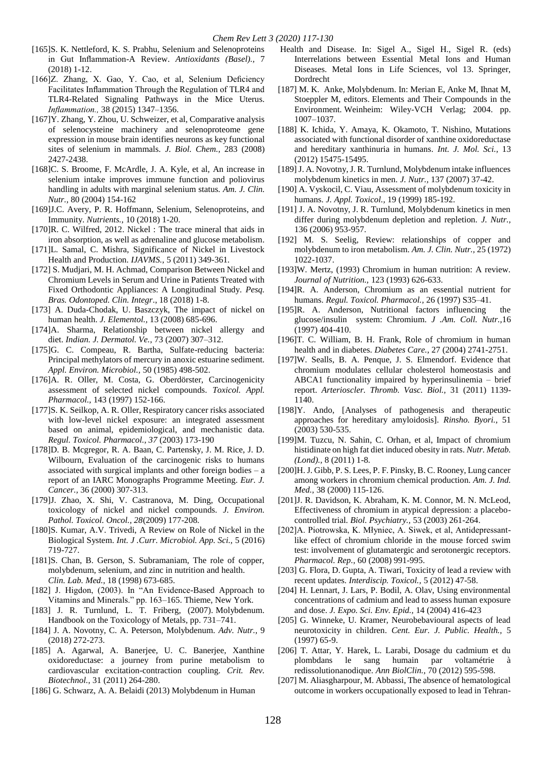- [165]S. K. Nettleford, K. S. Prabhu, Selenium and Selenoproteins in Gut Inflammation-A Review. *Antioxidants (Basel).,* 7 (2018) 1-12.
- [166]Z. Zhang, X. Gao, Y. Cao, et al, Selenium Deficiency Facilitates Inflammation Through the Regulation of TLR4 and TLR4-Related Signaling Pathways in the Mice Uterus. *Inflammation.,* 38 (2015) 1347–1356.
- [167]Y. Zhang, Y. Zhou, U. Schweizer, et al, Comparative analysis of selenocysteine machinery and selenoproteome gene expression in mouse brain identifies neurons as key functional sites of selenium in mammals. *J. Biol. Chem.,* 283 (2008) 2427-2438.
- [168]C. S. Broome, F. McArdle, J. A. Kyle, et al, An increase in selenium intake improves immune function and poliovirus handling in adults with marginal selenium status. *Am. J. Clin. Nutr.,* 80 (2004) 154-162
- [169]J.C. Avery, P. R. Hoffmann, Selenium, Selenoproteins, and Immunity. *Nutrients.,* 10 (2018) 1-20.
- [170]R. C. Wilfred, 2012. Nickel : The trace mineral that aids in iron absorption, as well as adrenaline and glucose metabolism.
- [171]L. Samal, C. Mishra, Significance of Nickel in Livestock Health and Production. *IJAVMS.,* 5 (2011) 349-361.
- [172] S. Mudjari, M. H. Achmad, Comparison Between Nickel and Chromium Levels in Serum and Urine in Patients Treated with Fixed Orthodontic Appliances: A Longitudinal Study. *Pesq. Bras. Odontoped. Clin. Integr*., 18 (2018) 1-8.
- [173] A. Duda-Chodak, U. Baszczyk, The impact of nickel on human health. *J. Elementol.,* 13 (2008) 685-696.
- [174]A. Sharma, Relationship between nickel allergy and diet. *Indian. J. Dermatol. Ve.*, 73 (2007) 307–312.
- [175]G. C. Compeau, R. Bartha, Sulfate-reducing bacteria: Principal methylators of mercury in anoxic estuarine sediment. *Appl. Environ. Microbiol.,* 50 (1985) 498-502.
- [176]A. R. Oller, M. Costa, G. Oberdörster, Carcinogenicity assessment of selected nickel compounds. *Toxicol. Appl. Pharmacol.,* 143 (1997) 152-166.
- [177]S. K. Seilkop, A. R. Oller, Respiratory cancer risks associated with low-level nickel exposure: an integrated assessment based on animal, epidemiological, and mechanistic data. *Regul. Toxicol. Pharmacol., 37* (2003) 173-190
- [178]D. B. Mcgregor, R. A. Baan, C. Partensky, J. M. Rice, J. D. Wilbourn, Evaluation of the carcinogenic risks to humans associated with surgical implants and other foreign bodies – a report of an IARC Monographs Programme Meeting. *Eur. J. Cancer.,* 36 (2000) 307-313.
- [179]J. Zhao, X. Shi, V. Castranova, M. Ding, Occupational toxicology of nickel and nickel compounds. *J. Environ. Pathol. Toxicol. Oncol., 28*(2009) 177-208.
- [180]S. Kumar, A.V. Trivedi, A Review on Role of Nickel in the Biological System. *Int. J .Curr. Microbiol. App. Sci.,* 5 (2016) 719-727.
- [181]S. Chan, B. Gerson, S. Subramaniam, The role of copper, molybdenum, selenium, and zinc in nutrition and health. *Clin. Lab. Med.,* 18 (1998) 673-685.
- [182] J. Higdon, (2003). In "An Evidence-Based Approach to Vitamins and Minerals." pp. 163–165. Thieme, New York.
- [183] J. R. Turnlund, L. T. Friberg, (2007). Molybdenum. Handbook on the Toxicology of Metals, pp. 731–741.
- [184] J. A. Novotny, C. A. Peterson, Molybdenum. *Adv. Nutr.,* 9 (2018) 272-273.
- [185] A. Agarwal, A. Banerjee, U. C. Banerjee, Xanthine oxidoreductase: a journey from purine metabolism to cardiovascular excitation-contraction coupling. *Crit. Rev. Biotechnol.,* 31 (2011) 264-280.
- [186] G. Schwarz, A. A. Belaidi (2013) Molybdenum in Human
- Health and Disease. In: Sigel A., Sigel H., Sigel R. (eds) Interrelations between Essential Metal Ions and Human Diseases. Metal Ions in Life Sciences, vol 13. Springer, Dordrecht
- [187] M. K. Anke, Molybdenum. In: Merian E, Anke M, Ihnat M, Stoeppler M, editors. Elements and Their Compounds in the Environment. Weinheim: Wiley-VCH Verlag; 2004. pp. 1007–1037.
- [188] K. Ichida, Y. Amaya, K. Okamoto, T. Nishino, Mutations associated with functional disorder of xanthine oxidoreductase and hereditary xanthinuria in humans. *Int. J. Mol. Sci.,* 13 (2012) 15475-15495.
- [189] J. A. Novotny, J. R. Turnlund, Molybdenum intake influences molybdenum kinetics in men. *J. Nutr.,* 137 (2007) 37-42.
- [190] A. Vyskocil, C. Viau, Assessment of molybdenum toxicity in humans. *J. Appl. Toxicol.,* 19 (1999) 185-192.
- [191] J. A. Novotny, J. R. Turnlund, Molybdenum kinetics in men differ during molybdenum depletion and repletion. *J. Nutr.,* 136 (2006) 953-957.
- [192] M. S. Seelig, Review: relationships of copper and molybdenum to iron metabolism. *Am. J. Clin. Nutr.,* 25 (1972) 1022-1037.
- [193]W. Mertz, (1993) Chromium in human nutrition: A review. *Journal of Nutrition.,* 123 (1993) 626-633.
- [194]R. A. Anderson, Chromium as an essential nutrient for humans. *Regul. Toxicol. Pharmacol.,* 26 (1997) S35–41.
- [195]R. A. Anderson, Nutritional factors influencing the glucose/insulin system: Chromium. *J .Am. Coll. Nutr.,*16 (1997) 404-410.
- [196]T. C. William, B. H. Frank, Role of chromium in human health and in diabetes. *Diabetes Care.,* 27 (2004) 2741-2751.
- [197]W. Sealls, B. A. Penque, J. S. Elmendorf. Evidence that chromium modulates cellular cholesterol homeostasis and ABCA1 functionality impaired by hyperinsulinemia – brief report. *Arterioscler. Thromb. Vasc. Biol.,* 31 (2011) 1139- 1140.
- [198]Y. Ando, [Analyses of pathogenesis and therapeutic approaches for hereditary amyloidosis]. *Rinsho. Byori.,* 51 (2003) 530-535.
- [199]M. Tuzcu, N. Sahin, C. Orhan, et al, Impact of chromium histidinate on high fat diet induced obesity in rats. *Nutr. Metab. (Lond).,* 8 (2011) 1-8.
- [200]H. J. Gibb, P. S. Lees, P. F. Pinsky, B. C. Rooney, Lung cancer among workers in chromium chemical production. *Am. J. Ind. Med.,* 38 (2000) 115-126.
- [201]J. R. Davidson, K. Abraham, K. M. Connor, M. N. McLeod, Effectiveness of chromium in atypical depression: a placebocontrolled trial. *Biol. Psychiatry.,* 53 (2003) 261-264.
- [202]A. Piotrowska, K. Młyniec, A. Siwek, et al, Antidepressantlike effect of chromium chloride in the mouse forced swim test: involvement of glutamatergic and serotonergic receptors. *Pharmacol. Rep.,* 60 (2008) 991-995.
- [203] G. Flora, D. Gupta, A. Tiwari, Toxicity of lead a review with recent updates. *Interdiscip. Toxicol.,* 5 (2012) 47-58.
- [204] H. Lennart, J. Lars, P. Bodil, A. Olav, Using environmental concentrations of cadmium and lead to assess human exposure and dose. *J. Expo. Sci. Env. Epid.,* 14 (2004) 416-423
- [205] G. Winneke, U. Kramer, Neurobebavioural aspects of lead neurotoxicity in children. *Cent. Eur. J. Public. Health.,* 5 (1997) 65-9.
- [206] T. Attar, Y. Harek, L. Larabi, Dosage du cadmium et du plombdans le sang humain par voltamétrie à redissolutionanodique. *Ann BiolClin.,* 70 (2012) 595-598.
- [207] M. Aliasgharpour, M. Abbassi, The absence of hematological outcome in workers occupationally exposed to lead in Tehran-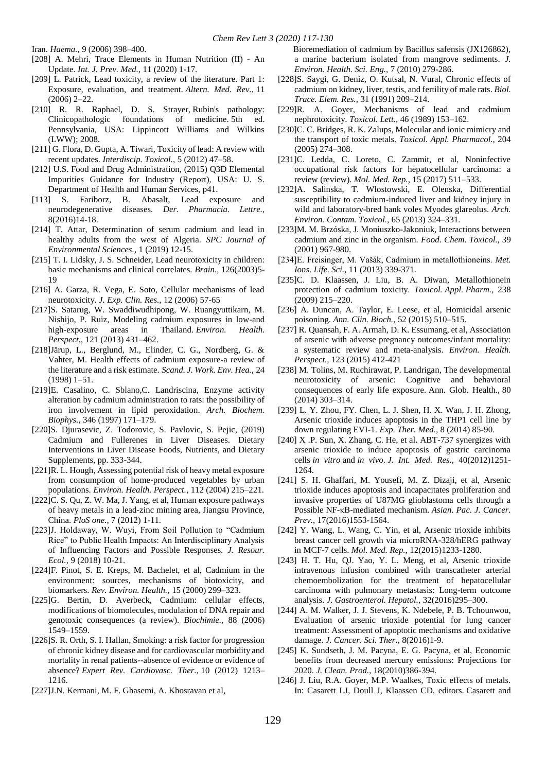Iran. *Haema.,* 9 (2006) 398–400.

- [208] A. Mehri, Trace Elements in Human Nutrition (II) An Update. *Int. J. Prev. Med.,* 11 (2020) 1-17.
- [209] L. Patrick, Lead toxicity, a review of the literature. Part 1: Exposure, evaluation, and treatment. *Altern. Med. Rev.,* 11 (2006) 2–22.
- [210] R. R. Raphael, D. S. Strayer, Rubin's pathology: Clinicopathologic foundations of medicine. 5th ed. Pennsylvania, USA: Lippincott Williams and Wilkins (LWW); 2008.
- [211] G. Flora, D. Gupta, A. Tiwari, Toxicity of lead: A review with recent updates. *Interdiscip. Toxicol.,* 5 (2012) 47–58.
- [212] U.S. Food and Drug Administration, (2015) Q3D Elemental Impurities Guidance for Industry (Report), USA: U. S. Department of Health and Human Services, p41.
- [113] S. Fariborz, B. Abasalt, Lead exposure and neurodegenerative diseases. *Der. Pharmacia. Lettre.,* 8(2016)14-18.
- [214] T. Attar, Determination of serum cadmium and lead in healthy adults from the west of Algeria. *SPC Journal of Environmental Sciences.*, 1 (2019) 12-15.
- [215] T. I. Lidsky, J. S. Schneider, Lead neurotoxicity in children: basic mechanisms and clinical correlates. *Brain.,* 126(2003)5- 19
- [216] A. Garza, R. Vega, E. Soto, Cellular mechanisms of lead neurotoxicity. *J. Exp. Clin. Res.,* 12 (2006) 57-65
- [217]S. Satarug, W. Swaddiwudhipong, W. Ruangyuttikarn, M. Nishijo, P. Ruiz, Modeling cadmium exposures in low-and high-exposure areas in Thailand. *Environ. Health. Perspect.,* 121 (2013) 431–462.
- [218]Järup, L., Berglund, M., Elinder, C. G., Nordberg, G. & Vahter, M. Health effects of cadmium exposure-a review of the literature and a risk estimate. *Scand. J. Work. Env. Hea.,* 24 (1998) 1–51.
- [219]E. Casalino, C. Sblano,C. Landriscina, Enzyme activity alteration by cadmium administration to rats: the possibility of iron involvement in lipid peroxidation. *Arch. Biochem. Biophys.,* 346 (1997) 171–179.
- [220]S. Djurasevic, Z. Todorovic, S. Pavlovic, S. Pejic, (2019) Cadmium and Fullerenes in Liver Diseases. Dietary Interventions in Liver Disease Foods, Nutrients, and Dietary Supplements, pp. 333-344.
- [221]R. L. Hough, Assessing potential risk of heavy metal exposure from consumption of home-produced vegetables by urban populations. *Environ. Health. Perspect.,* 112 (2004) 215–221.
- [222]C. S. Qu, Z. W. Ma, J. Yang, et al, Human exposure pathways of heavy metals in a lead-zinc mining area, Jiangsu Province, China. *PloS one.,* 7 (2012) 1-11.
- [223]J. Holdaway, W. Wuyi, From Soil Pollution to "Cadmium Rice" to Public Health Impacts: An Interdisciplinary Analysis of Influencing Factors and Possible Responses. *J. Resour. Ecol.,* 9 (2018) 10-21.
- [224]F. Pinot, S. E. Kreps, M. Bachelet, et al, Cadmium in the environment: sources, mechanisms of biotoxicity, and biomarkers. *Rev. Environ. Health.,* 15 (2000) 299–323.
- [225]G. Bertin, D. Averbeck, Cadmium: cellular effects, modifications of biomolecules, modulation of DNA repair and genotoxic consequences (a review). *Biochimie.,* 88 (2006) 1549–1559.
- [226]S. R. Orth, S. I. Hallan, Smoking: a risk factor for progression of chronic kidney disease and for cardiovascular morbidity and mortality in renal patients--absence of evidence or evidence of absence? *Expert Rev. Cardiovasc. Ther.,* 10 (2012) 1213– 1216.
- [227]J.N. Kermani, M. F. Ghasemi, A. Khosravan et al,

 Bioremediation of cadmium by Bacillus safensis (JX126862), a marine bacterium isolated from mangrove sediments. *J. Environ. Health. Sci. Eng.,* 7 (2010) 279-286.

- [228]S. Saygi, G. Deniz, O. Kutsal, N. Vural, Chronic effects of cadmium on kidney, liver, testis, and fertility of male rats. *Biol. Trace. Elem. Res.,* 31 (1991) 209–214.
- [229]R. A. Goyer, Mechanisms of lead and cadmium nephrotoxicity. *Toxicol. Lett.,* 46 (1989) 153–162.
- [230]C. C. Bridges, R. K. Zalups, Molecular and ionic mimicry and the transport of toxic metals. *Toxicol. Appl. Pharmacol.,* 204 (2005) 274–308.
- [231]C. Ledda, C. Loreto, C. Zammit, et al, Noninfective occupational risk factors for hepatocellular carcinoma: a review (review). *Mol. Med. Rep.,* 15 (2017) 511–533.
- [232]A. Salinska, T. Wlostowski, E. Olenska, Differential susceptibility to cadmium-induced liver and kidney injury in wild and laboratory-bred bank voles Myodes glareolus. *Arch. Environ. Contam. Toxicol.,* 65 (2013) 324–331.
- [233]M. M. Brzóska, J. Moniuszko-Jakoniuk, Interactions between cadmium and zinc in the organism. *Food. Chem. Toxicol.,* 39 (2001) 967-980.
- [234]E. Freisinger, M. Vašák, Cadmium in metallothioneins. *Met. Ions. Life. Sci.,* 11 (2013) 339-371.
- [235]C. D. Klaassen, J. Liu, B. A. Diwan, Metallothionein protection of cadmium toxicity. *Toxicol. Appl. Pharm.,* 238 (2009) 215–220.
- [236] A. Duncan, A. Taylor, E. Leese, et al, Homicidal arsenic poisoning. *Ann. Clin. Bioch.,* 52 (2015) 510–515.
- [237] R. Quansah, F. A. Armah, D. K. Essumang, et al, Association of arsenic with adverse pregnancy outcomes/infant mortality: a systematic review and meta-analysis. *Environ. Health. Perspect.,* 123 (2015) 412-421
- [238] M. Tolins, M. Ruchirawat, P. Landrigan, The developmental neurotoxicity of arsenic: Cognitive and behavioral consequences of early life exposure. Ann. Glob. Health., 80 (2014) 303–314.
- [239] L. Y. Zhou, FY. Chen, L. J. Shen, H. X. Wan, J. H. Zhong, Arsenic trioxide induces apoptosis in the THP1 cell line by down regulating EVI-1. *Exp. Ther. Med.,* 8 (2014) 85-90.
- [240] X .P. Sun, X. Zhang, C. He, et al. ABT-737 synergizes with arsenic trioxide to induce apoptosis of gastric carcinoma cells *in vitro* and *in vivo*. *J. Int. Med. Res.,* 40(2012)1251- 1264.
- [241] S. H. Ghaffari, M. Yousefi, M. Z. Dizaji, et al, Arsenic trioxide induces apoptosis and incapacitates proliferation and invasive properties of U87MG glioblastoma cells through a Possible NF-κB-mediated mechanism. *Asian. Pac. J. Cancer. Prev.,* 17(2016)1553-1564.
- [242] Y. Wang, L. Wang, C. Yin, et al, Arsenic trioxide inhibits breast cancer cell growth via microRNA-328/hERG pathway in MCF-7 cells. *Mol. Med. Rep.,* 12(2015)1233-1280.
- [243] H. T. Hu, QJ. Yao, Y. L. Meng, et al, Arsenic trioxide intravenous infusion combined with transcatheter arterial chemoembolization for the treatment of hepatocellular carcinoma with pulmonary metastasis: Long-term outcome analysis. *J. Gastroenterol. Hepatol.,* 32(2016)295–300.
- [244] A. M. Walker, J. J. Stevens, K. Ndebele, P. B. Tchounwou, Evaluation of arsenic trioxide potential for lung cancer treatment: Assessment of apoptotic mechanisms and oxidative damage. *J. Cancer. Sci. Ther.,* 8(2016)1-9.
- [245] K. Sundseth, J. M. Pacyna, E. G. Pacyna, et al, Economic benefits from decreased mercury emissions: Projections for 2020. *J. Clean. Prod.*, 18(2010)386-394.
- [246] J. Liu, R.A. Goyer, M.P. Waalkes, Toxic effects of metals. In: Casarett LJ, Doull J, Klaassen CD, editors. Casarett and